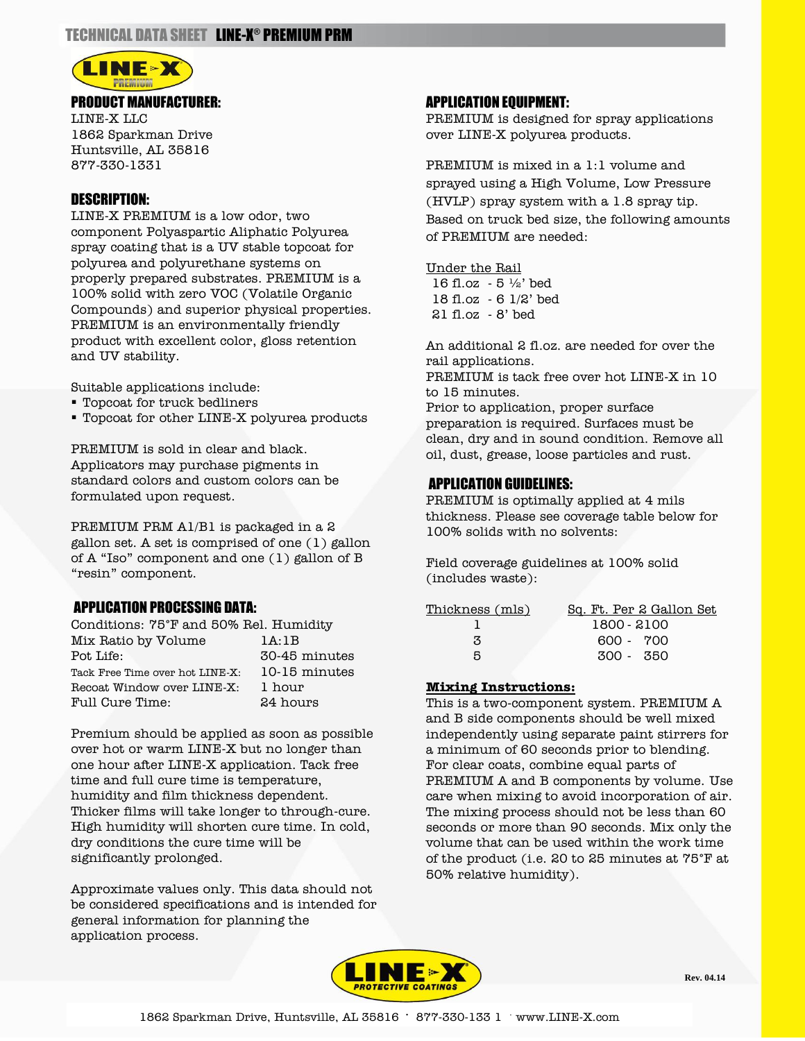

LINE-X LLC 1862 Sparkman Drive Huntsville, AL 35816 877-330-1331

## DESCRIPTION:

LINE-X PREMIUM is a low odor, two component Polyaspartic Aliphatic Polyurea spray coating that is a UV stable topcoat for polyurea and polyurethane systems on properly prepared substrates. PREMIUM is a 100% solid with zero VOC (Volatile Organic Compounds) and superior physical properties. PREMIUM is an environmentally friendly product with excellent color, gloss retention and UV stability.

Suitable applications include:

- Topcoat for truck bedliners
- Topcoat for other LINE-X polyurea products

PREMIUM is sold in clear and black. Applicators may purchase pigments in standard colors and custom colors can be formulated upon request.

PREMIUM PRM A1/B1 is packaged in a 2 gallon set. A set is comprised of one (1) gallon of A "Iso" component and one (1) gallon of B "resin" component.

## APPLICATION PROCESSING DATA:

| Conditions: 75°F and 50% Rel. Humidity |               |  |
|----------------------------------------|---------------|--|
| Mix Ratio by Volume                    | 1A:1B         |  |
| Pot Life:                              | 30-45 minutes |  |
| Tack Free Time over hot LINE-X:        | 10-15 minutes |  |
| Recoat Window over LINE-X:             | 1 hour        |  |
| Full Cure Time:                        | 24 hours      |  |

Premium should be applied as soon as possible over hot or warm LINE-X but no longer than one hour after LINE-X application. Tack free time and full cure time is temperature, humidity and film thickness dependent. Thicker films will take longer to through-cure. High humidity will shorten cure time. In cold, dry conditions the cure time will be significantly prolonged.

Approximate values only. This data should not be considered specifications and is intended for general information for planning the application process.

#### APPLICATION EQUIPMENT:

PREMIUM is designed for spray applications over LINE-X polyurea products.

PREMIUM is mixed in a 1:1 volume and sprayed using a High Volume, Low Pressure (HVLP) spray system with a 1.8 spray tip. Based on truck bed size, the following amounts of PREMIUM are needed:

#### Under the Rail

 $16$  fl.oz - 5  $\frac{1}{2}$  bed 18 fl.oz - 6 1/2' bed 21 fl.oz - 8' bed

An additional 2 fl.oz. are needed for over the rail applications.

PREMIUM is tack free over hot LINE-X in 10 to 15 minutes.

Prior to application, proper surface preparation is required. Surfaces must be clean, dry and in sound condition. Remove all oil, dust, grease, loose particles and rust.

### APPLICATION GUIDELINES:

PREMIUM is optimally applied at 4 mils thickness. Please see coverage table below for 100% solids with no solvents:

Field coverage guidelines at 100% solid (includes waste):

| Thickness (mls) | Sq. Ft. Per 2 Gallon Set |
|-----------------|--------------------------|
|                 | 1800 - 2100              |
| З               | 600 - 700                |
| я               | 300 - 350                |

#### **Mixing Instructions:**

This is a two-component system. PREMIUM A and B side components should be well mixed independently using separate paint stirrers for a minimum of 60 seconds prior to blending. For clear coats, combine equal parts of PREMIUM A and B components by volume. Use care when mixing to avoid incorporation of air. The mixing process should not be less than 60 seconds or more than 90 seconds. Mix only the volume that can be used within the work time of the product (i.e. 20 to 25 minutes at 75°F at 50% relative humidity).



**Rev. 04.14**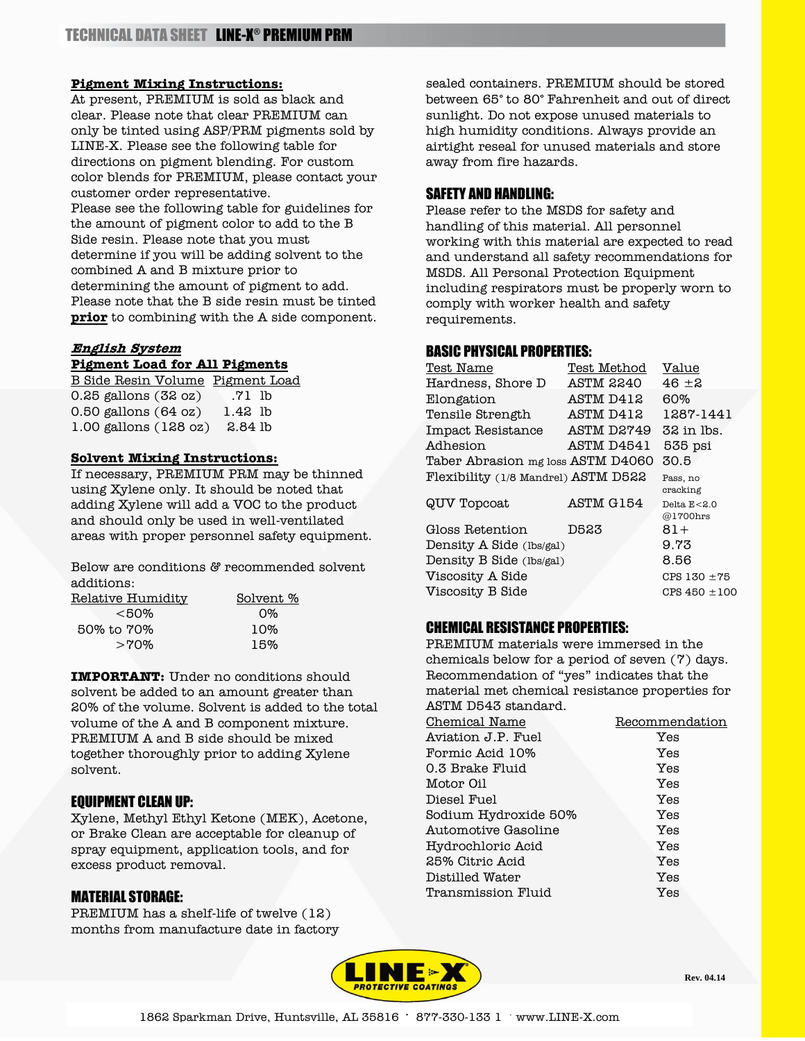#### **Pigment Mixing Instructions:**

At present, PREMIUM is sold as black and clear. Please note that clear PREMIUM can only be tinted using ASP/PRM pigments sold by LINE-X. Please see the following table for directions on pigment blending. For custom color blends for PREMIUM, please contact your customer order representative. Please see the following table for guidelines for the amount of pigment color to add to the B Side resin. Please note that you must determine if you will be adding solvent to the combined A and B mixture prior to determining the amount of pigment to add. Please note that the B side resin must be tinted **prior** to combining with the A side component.

# **English System**

## **Pigment Load for All Pigments**

B Side Resin Volume Pigment Load 0.25 gallons (32 oz) .71 lb 0.50 gallons (64 oz) 1.42 lb 1.00 gallons (128 oz) 2.84 lb

#### **Solvent Mixing Instructions:**

If necessary, PREMIUM PRM may be thinned using Xylene only. It should be noted that adding Xylene will add a VOC to the product and should only be used in well-ventilated areas with proper personnel safety equipment.

Below are conditions & recommended solvent additions:

| Relative Humidity | Solvent <sub>%</sub> |
|-------------------|----------------------|
| $<$ 50%           | $\Omega\%$           |
| 50% to 70%        | 10%                  |
| $>70\%$           | 15%                  |
|                   |                      |

**IMPORTANT:** Under no conditions should solvent be added to an amount greater than 20% of the volume. Solvent is added to the total volume of the A and B component mixture. PREMIUM A and B side should be mixed together thoroughly prior to adding Xylene solvent.

## EQUIPMENT CLEAN UP:

Xylene, Methyl Ethyl Ketone (MEK), Acetone, or Brake Clean are acceptable for cleanup of spray equipment, application tools, and for excess product removal.

## MATERIAL STORAGE:

PREMIUM has a shelf-life of twelve (12) months from manufacture date in factory

sealed containers. PREMIUM should be stored between 65° to 80° Fahrenheit and out of direct sunlight. Do not expose unused materials to high humidity conditions. Always provide an airtight reseal for unused materials and store away from fire hazards.

## SAFETY AND HANDLING:

Please refer to the MSDS for safety and handling of this material. All personnel working with this material are expected to read and understand all safety recommendations for MSDS. All Personal Protection Equipment including respirators must be properly worn to comply with worker health and safety requirements.

# BASIC PHYSICAL PROPERTIES:

| Test Name                           | Test Method | Value                       |
|-------------------------------------|-------------|-----------------------------|
| Hardness, Shore D                   | ASTM 2240   | $46 + 2$                    |
| Elongation                          | ASTM D412   | 60%                         |
| Tensile Strength                    | ASTM D412   | 1287-1441                   |
| Impact Resistance                   | ASTM D2749  | 32 in lbs.                  |
| Adhesion                            | ASTM D4541  | 535 psi                     |
| Taber Abrasion mg loss ASTM D4060   |             | 30.5                        |
| Flexibility (1/8 Mandrel) ASTM D522 |             | Pass, no<br>cracking        |
| QUV Topcoat                         | ASTM G154   | Delta $E < 2.0$<br>@1700hrs |
| Gloss Retention                     | D523        | 81+                         |
| Density A Side (lbs/gal)            |             | 9.73                        |
| Density B Side (lbs/gal)            |             | 8.56                        |
| Viscosity A Side                    |             | $CPS 130 + 75$              |
| Viscosity B Side                    |             | $CPS 450 \pm 100$           |
|                                     |             |                             |

# CHEMICAL RESISTANCE PROPERTIES:

PREMIUM materials were immersed in the chemicals below for a period of seven (7) days. Recommendation of "yes" indicates that the material met chemical resistance properties for ASTM D543 standard.

| Chemical Name        | Recommendation |
|----------------------|----------------|
| Aviation J.P. Fuel   | Yes            |
| Formic Acid 10%      | Yes            |
| 0.3 Brake Fluid      | Yes            |
| Motor Oil            | Yes            |
| Diesel Fuel          | Yes            |
| Sodium Hydroxide 50% | Yes            |
| Automotive Gasoline  | Yes            |
| Hydrochloric Acid    | Yes            |
| 25% Citric Acid      | Yes            |
| Distilled Water      | Yes            |
| Transmission Fluid   | Yes            |